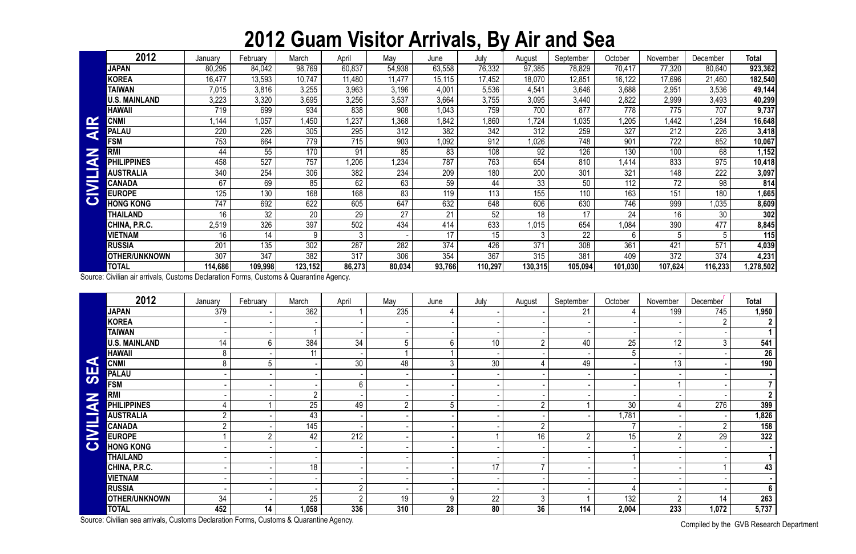## **2012 Guam Visitor Arrivals, By Air and Sea**

|                              | 2012                 | January | February | March   | April            | May              | June   | July    | August  | September | October | November | December         | <b>Total</b> |
|------------------------------|----------------------|---------|----------|---------|------------------|------------------|--------|---------|---------|-----------|---------|----------|------------------|--------------|
|                              | <b>JAPAN</b>         | 80,295  | 84,042   | 98,769  | 60,837           | 54,938           | 63,558 | 76,332  | 97,385  | 78,829    | 70,417  | 77,320   | 80,640           | 923,362      |
|                              | KOREA                | 16,477  | 13,593   | 10,747  | 11,480           | 11,477           | 15,115 | 17,452  | 18,070  | 12,851    | 16,122  | 17,696   | 21,460           | 182,540      |
|                              | <b>TAIWAN</b>        | 7,015   | 3,816    | 3,255   | 3,963            | 3,196            | 4,001  | 5,536   | 4,541   | 3,646     | 3,688   | 2,951    | 3,536            | 49,144       |
|                              | <b>U.S. MAINLAND</b> | 3,223   | 3,320    | 3,695   | 3,256            | 3,537            | 3,664  | 3,755   | 3,095   | 3,440     | 2,822   | 2,999    | 3,493            | 40,299       |
|                              | <b>HAWAII</b>        | 719     | 699      | 934     | 838              | 908              | 1,043  | 759     | 700     | 877       | 778     | 775      | 707              | 9,737        |
| $\mathbf{\alpha}$            | <b>CNMI</b>          | 1,144   | 1,057    | 1,450   | ,237             | ,368             | ,842   | ,860    | ,724    | 1,035     | ,205    | 1,442    | ,284             | 16,648       |
| $\overline{\textbf{a}}$      | <b>PALAU</b>         | 220     | 226      | 305     | 295              | 312              | 382    | 342     | 312     | 259       | 327     | 212      | 226              | 3,418        |
|                              | <b>FSM</b>           | 753     | 664      | 779     | 715              | 903              | 1,092  | 912     | ,026    | 748       | 901     | 722      | 852              | 10,067       |
| $\overline{\mathbf{z}}$<br>a | <b>RMI</b>           | 44      | 55       | 170     | 91               | 85               | 83     | 108     | 92      | 126       | 130     | 100      | 68               | 1,152        |
|                              | <b>LIPPINES</b>      | 458     | 527      | 757     | 1,206            | 1,234            | 787    | 763     | 654     | 810       | 1,414   | 833      | 975              | 10,418       |
|                              | <b>AUSTRALIA</b>     | 340     | 254      | 306     | 382              | $23\overline{4}$ | 209    | 180     | 200     | 301       | 321     | 148      | 222              | 3,097        |
| $\overline{\mathbf{N}}$      | <b>CANADA</b>        | 67      | 69       | 85      | 62               | 63               | 59     | 44      | 33      | 50        | 112     | 72       | 98               | 814          |
|                              | <b>EUROPE</b>        | 125     | 130      | 168     | 168              | 83               | 119    | 113     | 155     | 110       | 163     | 151      | 180              | 1,665        |
| $\bullet$                    | <b>HONG KONG</b>     | 747     | 692      | 622     | 605              | 647              | 632    | 648     | 606     | 630       | 746     | 999      | 1,035            | 8,609        |
|                              | THAILAND             | 16      | 32       | 20      | 29               | 27               | 21     | 52      | 18      | 17        | 24      | 16       | 30               | 302          |
|                              | CHINA, P.R.C.        | 2,519   | 326      | 397     | 502              | 434              | 414    | 633     | 1,015   | 654       | 1,084   | 390      | 477              | 8,845        |
|                              | <b>VIETNAM</b>       | 16      | 14       | 9       | 3                |                  | 17     | 15      | 3       | 22        | 6       | 5        | 5                | 115          |
|                              | <b>RUSSIA</b>        | 201     | 135      | 302     | 287              | 282              | 374    | 426     | 371     | 308       | 361     | 421      | 571              | 4,039        |
|                              | <b>OTHER/UNKNOWN</b> | 307     | 347      | 382     | $\overline{317}$ | 306              | 354    | 367     | 315     | 381       | 409     | 372      | $3\overline{7}4$ | 4,231        |
|                              | <b>TOTAL</b>         | 114,686 | 109,998  | 123,152 | 86,273           | 80,034           | 93,766 | 110,297 | 130,315 | 105,094   | 101,030 | 107,624  | 116,233          | ,278,502     |

| $\mathbf{\alpha}$    | <b>CNMI</b>                                                                            | 1,144            | 1,057            | 1,450            | 1,237           | 1,368           | 1,842            | 1,860           | 1,724            | 1,035            | 1,205            | 1,442          | 1,284                       | 16,648         |
|----------------------|----------------------------------------------------------------------------------------|------------------|------------------|------------------|-----------------|-----------------|------------------|-----------------|------------------|------------------|------------------|----------------|-----------------------------|----------------|
| ₹                    | <b>PALAU</b>                                                                           | 220              | 226              | 305              | 295             | 312             | 382              | 342             | 312              | 259              | 327              | 212            | 226                         | 3,418          |
|                      | <b>FSM</b>                                                                             | 753              | 664              | 779              | 715             | 903             | 1,092            | 912             | 1,026            | 748              | 901              | 722            | 852                         | 10,067         |
| Z                    | <b>RMI</b>                                                                             | 44               | $\overline{55}$  | 170              | 91              | 85              | 83               | 108             | 92               | 126              | 130              | 100            | 68                          | 1,152          |
|                      | <b>PHILIPPINES</b>                                                                     | 458              | $\overline{527}$ | 757              | 1,206           | 1,234           | 787              | 763             | 654              | 810              | 1,414            | 833            | 975                         | 10,418         |
| CIVILIA              | <b>AUSTRALIA</b>                                                                       | 340              | 254              | 306              | 382             | 234             | 209              | 180             | 200              | 301              | 321              | 148            | 222                         | 3,097          |
|                      | <b>CANADA</b>                                                                          | 67               | 69               | 85               | 62              | 63              | 59               | 44              | 33               | $\overline{50}$  | 112              | 72             | $\overline{98}$             | 814            |
|                      | <b>EUROPE</b>                                                                          | 125              | 130              | 168              | 168             | 83              | 119              | 113             | 155              | 110              | 163              | 151            | 180                         | 1,665          |
|                      | <b>HONG KONG</b>                                                                       | 747              | 692              | 622              | 605             | 647             | 632              | 648             | 606              | 630              | 746              | 999            | 1,035                       | 8,609          |
|                      | <b>THAILAND</b>                                                                        | 16               | 32               | $\overline{20}$  | $\overline{29}$ | 27              | 21               | 52              | 18               | 17               | $\overline{24}$  | 16             | 30                          | 302            |
|                      | CHINA, P.R.C.                                                                          | 2,519            | $\overline{326}$ | 397              | 502             | 434             | 414              | 633             | 1,015            | 654              | 1,084            | 390            | 477                         | 8,845          |
|                      | <b>VIETNAM</b>                                                                         | 16               | 14               | 9                | 3               |                 | 17               | 15              | 3                | 22               | 6                | 5              | 5                           | 115            |
|                      | <b>RUSSIA</b>                                                                          | $\overline{201}$ | 135              | $\overline{302}$ | 287             | 282             | $\overline{374}$ | 426             | $\overline{371}$ | $\overline{308}$ | 361              | 421            | $\overline{571}$            | 4,039          |
|                      | <b>OTHER/UNKNOWN</b>                                                                   | 307              | 347              | 382              | 317             | 306             | 354              | 367             | 315              | 381              | 409              | 372            | 374                         | 4,231          |
|                      | <b>TOTAL</b>                                                                           | 114,686          | 109,998          | 123,152          | 86,273          | 80,034          | 93,766           | 110,297         | 130,315          | 105,094          | 101,030          | 107,624        | 116,233                     | 1,278,502      |
|                      | Source: Civilian air arrivals, Customs Declaration Forms, Customs & Quarantine Agency. |                  |                  |                  |                 |                 |                  |                 |                  |                  |                  |                |                             |                |
|                      | 2012                                                                                   | January          | February         | March            | April           | May             | June             | July            | August           | September        | October          | November       | December                    | <b>Total</b>   |
|                      | <b>JAPAN</b>                                                                           | 379              |                  | 362              |                 | 235             | 4                |                 |                  | 21               | 4                | 199            | 745                         | 1,950          |
|                      | <b>KOREA</b>                                                                           |                  |                  |                  |                 |                 |                  |                 |                  |                  |                  |                | $\overline{2}$              | $\overline{2}$ |
|                      | <b>TAIWAN</b>                                                                          |                  |                  |                  |                 |                 |                  |                 |                  |                  |                  |                |                             | $\mathbf 1$    |
|                      | <b>U.S. MAINLAND</b>                                                                   | 14               | $6^{\circ}$      | 384              | 34              | 5               | 6                | 10              | $\overline{2}$   | 40               | 25               | 12             | 3                           | 541            |
|                      | <b>HAWAII</b>                                                                          | 8                |                  | 11               |                 |                 |                  |                 |                  |                  | 5                |                |                             | 26             |
| $\blacktriangleleft$ | <b>CNMI</b>                                                                            | 8                | 5                |                  | 30              | 48              | 3                | $\overline{30}$ |                  | 49               |                  | 13             |                             | 190            |
| <b>SE</b>            | <b>PALAU</b>                                                                           |                  |                  |                  |                 |                 |                  |                 |                  |                  |                  |                |                             |                |
|                      | <b>FSM</b>                                                                             |                  |                  |                  | 6               |                 |                  |                 |                  |                  |                  |                |                             | $\overline{7}$ |
|                      | <b>RMI</b>                                                                             |                  |                  | $2^{\circ}$      |                 |                 |                  |                 |                  |                  |                  |                |                             | $\overline{2}$ |
| <b>NAITI</b>         | <b>PHILIPPINES</b>                                                                     |                  |                  | 25               | 49              | $\overline{2}$  | 5                |                 | $\overline{2}$   |                  | 30               | $\overline{4}$ | 276                         | 399            |
|                      | <b>AUSTRALIA</b>                                                                       | $2\overline{ }$  |                  | 43               |                 |                 |                  |                 |                  |                  | 1,781            |                |                             | 1,826          |
|                      | <b>CANADA</b>                                                                          | $\overline{2}$   |                  | $\overline{145}$ |                 |                 |                  |                 | $\overline{2}$   |                  | $\overline{7}$   |                | $\overline{2}$              | 158            |
| $\geq$               | <b>EUROPE</b>                                                                          |                  | $\overline{2}$   | 42               | 212             |                 |                  |                 | 16               | $\overline{2}$   | 15               | $\overline{2}$ | 29                          | 322            |
| $\bullet$            | <b>HONG KONG</b>                                                                       |                  |                  |                  |                 |                 |                  |                 |                  |                  |                  |                |                             |                |
|                      | <b>THAILAND</b>                                                                        |                  |                  |                  |                 |                 |                  |                 |                  |                  |                  |                |                             | $\mathbf 1$    |
|                      | CHINA, P.R.C.                                                                          |                  |                  | 18               |                 |                 |                  | 17              |                  |                  |                  |                |                             | 43             |
|                      | <b>VIETNAM</b>                                                                         |                  |                  |                  |                 |                 |                  |                 |                  |                  |                  |                |                             |                |
|                      | <b>RUSSIA</b>                                                                          |                  |                  |                  | $\overline{2}$  |                 |                  |                 |                  |                  | 4                |                |                             | $6\phantom{a}$ |
|                      | OTHER/UNKNOWN                                                                          | 34               |                  | 25               | $\overline{2}$  | $\overline{19}$ | 9                | 22              | $\mathfrak{3}$   |                  | $\overline{132}$ | $\overline{2}$ | 14                          | 263            |
|                      | <b>TOTAL</b>                                                                           | 452              | 14               | 1,058            | 336             | 310             | 28               | 80              | 36               | 114              | 2,004            | 233            | 1,072                       | 5,737          |
|                      | Source: Civilian sea arrivals, Customs Declaration Forms, Customs & Quarantine Agency. |                  |                  |                  |                 |                 |                  |                 |                  |                  |                  |                | Compiled button CUD Desease |                |

Compiled by the GVB Research Department